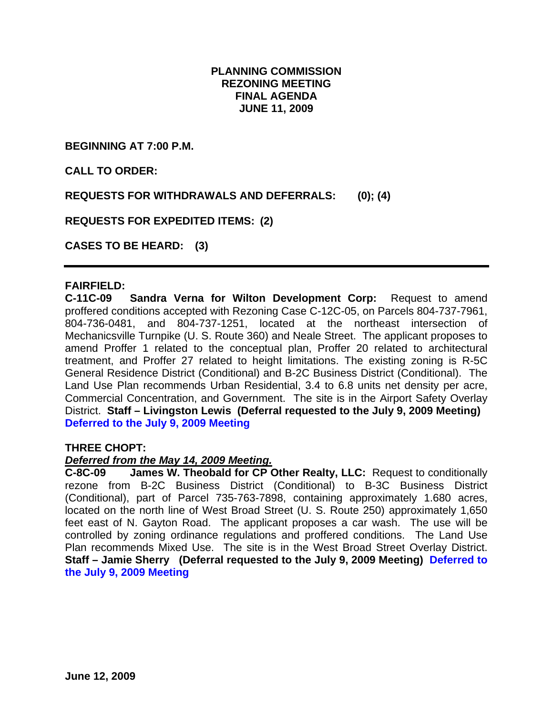## **PLANNING COMMISSION REZONING MEETING FINAL AGENDA JUNE 11, 2009**

**BEGINNING AT 7:00 P.M.** 

**CALL TO ORDER:** 

**REQUESTS FOR WITHDRAWALS AND DEFERRALS: (0); (4)** 

**REQUESTS FOR EXPEDITED ITEMS: (2)** 

**CASES TO BE HEARD: (3)** 

#### **FAIRFIELD:**

**C-11C-09 Sandra Verna for Wilton Development Corp:** Request to amend proffered conditions accepted with Rezoning Case C-12C-05, on Parcels 804-737-7961, 804-736-0481, and 804-737-1251, located at the northeast intersection of Mechanicsville Turnpike (U. S. Route 360) and Neale Street. The applicant proposes to amend Proffer 1 related to the conceptual plan, Proffer 20 related to architectural treatment, and Proffer 27 related to height limitations. The existing zoning is R-5C General Residence District (Conditional) and B-2C Business District (Conditional). The Land Use Plan recommends Urban Residential, 3.4 to 6.8 units net density per acre, Commercial Concentration, and Government. The site is in the Airport Safety Overlay District. **Staff – Livingston Lewis (Deferral requested to the July 9, 2009 Meeting) Deferred to the July 9, 2009 Meeting** 

### **THREE CHOPT:**

#### *Deferred from the May 14, 2009 Meeting.*

**C-8C-09 James W. Theobald for CP Other Realty, LLC:** Request to conditionally rezone from B-2C Business District (Conditional) to B-3C Business District (Conditional), part of Parcel 735-763-7898, containing approximately 1.680 acres, located on the north line of West Broad Street (U. S. Route 250) approximately 1,650 feet east of N. Gayton Road. The applicant proposes a car wash. The use will be controlled by zoning ordinance regulations and proffered conditions. The Land Use Plan recommends Mixed Use. The site is in the West Broad Street Overlay District. **Staff – Jamie Sherry (Deferral requested to the July 9, 2009 Meeting) Deferred to the July 9, 2009 Meeting**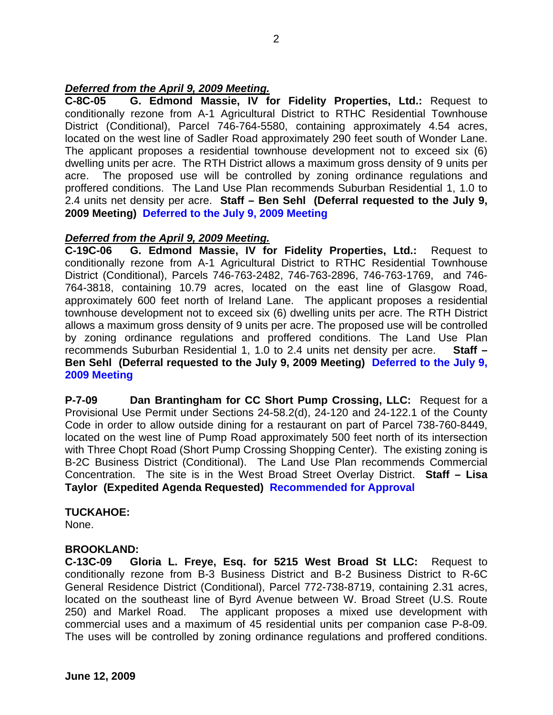## *Deferred from the April 9, 2009 Meeting.*

**C-8C-05 G. Edmond Massie, IV for Fidelity Properties, Ltd.:** Request to conditionally rezone from A-1 Agricultural District to RTHC Residential Townhouse District (Conditional), Parcel 746-764-5580, containing approximately 4.54 acres, located on the west line of Sadler Road approximately 290 feet south of Wonder Lane. The applicant proposes a residential townhouse development not to exceed six (6) dwelling units per acre. The RTH District allows a maximum gross density of 9 units per acre. The proposed use will be controlled by zoning ordinance regulations and proffered conditions. The Land Use Plan recommends Suburban Residential 1, 1.0 to 2.4 units net density per acre. **Staff – Ben Sehl (Deferral requested to the July 9, 2009 Meeting) Deferred to the July 9, 2009 Meeting** 

#### *Deferred from the April 9, 2009 Meeting.*

**C-19C-06 G. Edmond Massie, IV for Fidelity Properties, Ltd.:** Request to conditionally rezone from A-1 Agricultural District to RTHC Residential Townhouse District (Conditional), Parcels 746-763-2482, 746-763-2896, 746-763-1769, and 746- 764-3818, containing 10.79 acres, located on the east line of Glasgow Road, approximately 600 feet north of Ireland Lane. The applicant proposes a residential townhouse development not to exceed six (6) dwelling units per acre. The RTH District allows a maximum gross density of 9 units per acre. The proposed use will be controlled by zoning ordinance regulations and proffered conditions. The Land Use Plan recommends Suburban Residential 1, 1.0 to 2.4 units net density per acre. **Staff – Ben Sehl (Deferral requested to the July 9, 2009 Meeting) Deferred to the July 9, 2009 Meeting** 

**P-7-09 Dan Brantingham for CC Short Pump Crossing, LLC:** Request for a Provisional Use Permit under Sections 24-58.2(d), 24-120 and 24-122.1 of the County Code in order to allow outside dining for a restaurant on part of Parcel 738-760-8449, located on the west line of Pump Road approximately 500 feet north of its intersection with Three Chopt Road (Short Pump Crossing Shopping Center). The existing zoning is B-2C Business District (Conditional). The Land Use Plan recommends Commercial Concentration. The site is in the West Broad Street Overlay District. **Staff – Lisa Taylor (Expedited Agenda Requested) Recommended for Approval** 

#### **TUCKAHOE:**

None.

#### **BROOKLAND:**

**C-13C-09 Gloria L. Freye, Esq. for 5215 West Broad St LLC:** Request to conditionally rezone from B-3 Business District and B-2 Business District to R-6C General Residence District (Conditional), Parcel 772-738-8719, containing 2.31 acres, located on the southeast line of Byrd Avenue between W. Broad Street (U.S. Route 250) and Markel Road. The applicant proposes a mixed use development with commercial uses and a maximum of 45 residential units per companion case P-8-09. The uses will be controlled by zoning ordinance regulations and proffered conditions.